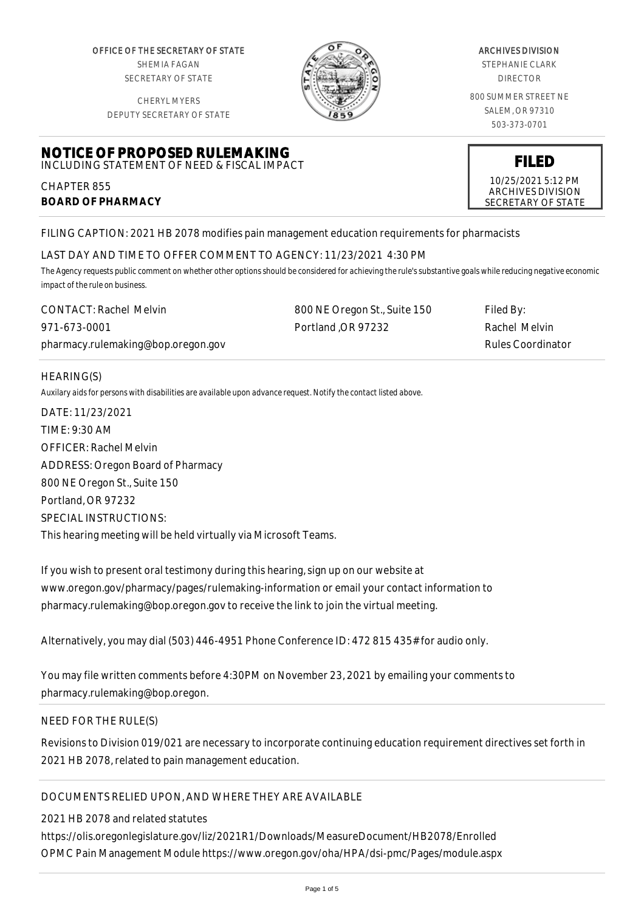OFFICE OF THE SECRETARY OF STATE SHEMIA FAGAN SECRETARY OF STATE

CHERYL MYERS



#### ARCHIVES DIVISION

STEPHANIE CLARK DIRECTOR

800 SUMMER STREET NE SALEM, OR 97310 503-373-0701

> **FILED** 10/25/2021 5:12 PM ARCHIVES DIVISION SECRETARY OF STATE

DEPUTY SECRETARY OF STATE

## **NOTICE OF PROPOSED RULEMAKING** INCLUDING STATEMENT OF NEED & FISCAL IMPACT

CHAPTER 855 **BOARD OF PHARMACY**

FILING CAPTION: 2021 HB 2078 modifies pain management education requirements for pharmacists

# LAST DAY AND TIME TO OFFER COMMENT TO AGENCY: 11/23/2021 4:30 PM

*The Agency requests public comment on whether other options should be considered for achieving the rule's substantive goals while reducing negative economic impact of the rule on business.*

| <b>CONTACT: Rachel Melvin</b>      | 800 NE Oregon St., Suite 150 | Filed By:         |
|------------------------------------|------------------------------|-------------------|
| 971-673-0001                       | Portland OR 97232            | Rachel Melvin     |
| pharmacy.rulemaking@bop.oregon.gov |                              | Rules Coordinator |

## HEARING(S)

*Auxilary aids for persons with disabilities are available upon advance request. Notify the contact listed above.*

DATE: 11/23/2021 TIME: 9:30 AM OFFICER: Rachel Melvin ADDRESS: Oregon Board of Pharmacy 800 NE Oregon St., Suite 150 Portland, OR 97232 SPECIAL INSTRUCTIONS: This hearing meeting will be held virtually via Microsoft Teams.

If you wish to present oral testimony during this hearing, sign up on our website at www.oregon.gov/pharmacy/pages/rulemaking-information or email your contact information to pharmacy.rulemaking@bop.oregon.gov to receive the link to join the virtual meeting.

Alternatively, you may dial (503) 446-4951 Phone Conference ID: 472 815 435# for audio only.

You may file written comments before 4:30PM on November 23, 2021 by emailing your comments to pharmacy.rulemaking@bop.oregon.

## NEED FOR THE RULE(S)

Revisions to Division 019/021 are necessary to incorporate continuing education requirement directives set forth in 2021 HB 2078, related to pain management education.

# DOCUMENTS RELIED UPON, AND WHERE THEY ARE AVAILABLE

2021 HB 2078 and related statutes https://olis.oregonlegislature.gov/liz/2021R1/Downloads/MeasureDocument/HB2078/Enrolled OPMC Pain Management Module https://www.oregon.gov/oha/HPA/dsi-pmc/Pages/module.aspx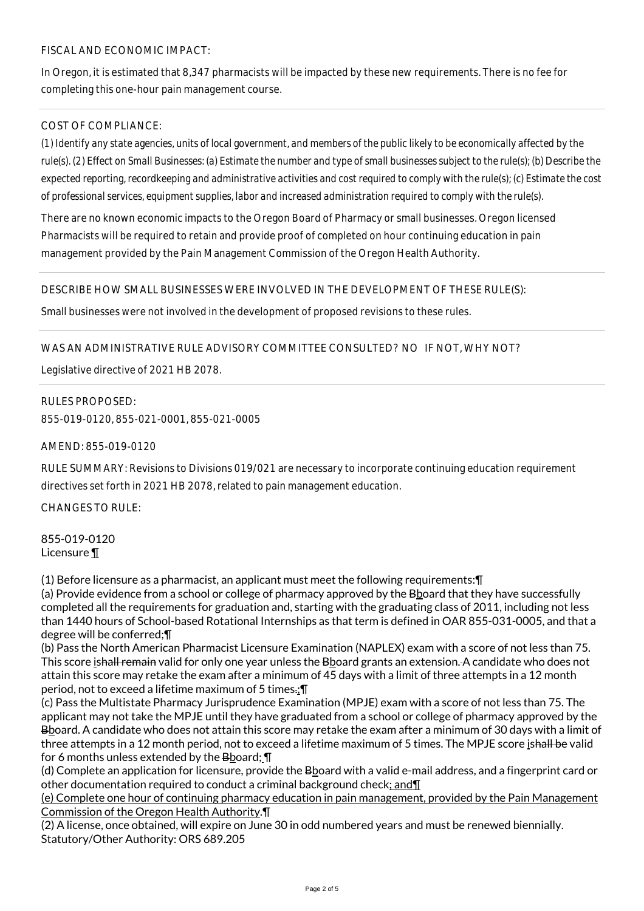## FISCAL AND ECONOMIC IMPACT:

In Oregon, it is estimated that 8,347 pharmacists will be impacted by these new requirements. There is no fee for completing this one-hour pain management course.

## COST OF COMPLIANCE:

*(1) Identify any state agencies, units of local government, and members of the public likely to be economically affected by the rule(s). (2) Effect on Small Businesses: (a) Estimate the number and type of small businesses subject to the rule(s); (b) Describe the expected reporting, recordkeeping and administrative activities and cost required to comply with the rule(s); (c) Estimate the cost of professional services, equipment supplies, labor and increased administration required to comply with the rule(s).*

There are no known economic impacts to the Oregon Board of Pharmacy or small businesses. Oregon licensed Pharmacists will be required to retain and provide proof of completed on hour continuing education in pain management provided by the Pain Management Commission of the Oregon Health Authority.

#### DESCRIBE HOW SMALL BUSINESSES WERE INVOLVED IN THE DEVELOPMENT OF THESE RULE(S):

Small businesses were not involved in the development of proposed revisions to these rules.

## WAS AN ADMINISTRATIVE RULE ADVISORY COMMITTEE CONSULTED? NO IF NOT, WHY NOT?

Legislative directive of 2021 HB 2078.

#### RULES PROPOSED:

855-019-0120, 855-021-0001, 855-021-0005

AMEND: 855-019-0120

RULE SUMMARY: Revisions to Divisions 019/021 are necessary to incorporate continuing education requirement directives set forth in 2021 HB 2078, related to pain management education.

CHANGES TO RULE:

855-019-0120 Licensure ¶

(1) Before licensure as a pharmacist, an applicant must meet the following requirements:¶

(a) Provide evidence from a school or college of pharmacy approved by the Bboard that they have successfully completed all the requirements for graduation and, starting with the graduating class of 2011, including not less than 1440 hours of School-based Rotational Internships as that term is defined in OAR 855-031-0005, and that a degree will be conferred;¶

(b) Pass the North American Pharmacist Licensure Examination (NAPLEX) exam with a score of not less than 75. This score ishall remain valid for only one year unless the Bboard grants an extension. A candidate who does not attain this score may retake the exam after a minimum of 45 days with a limit of three attempts in a 12 month period, not to exceed a lifetime maximum of 5 times.;¶

(c) Pass the Multistate Pharmacy Jurisprudence Examination (MPJE) exam with a score of not less than 75. The applicant may not take the MPJE until they have graduated from a school or college of pharmacy approved by the Bboard. A candidate who does not attain this score may retake the exam after a minimum of 30 days with a limit of three attempts in a 12 month period, not to exceed a lifetime maximum of 5 times. The MPJE score ishall be valid for 6 months unless extended by the Bboard; \[

(d) Complete an application for licensure, provide the Bboard with a valid e-mail address, and a fingerprint card or other documentation required to conduct a criminal background check; and¶

(e) Complete one hour of continuing pharmacy education in pain management, provided by the Pain Management Commission of the Oregon Health Authority.¶

(2) A license, once obtained, will expire on June 30 in odd numbered years and must be renewed biennially. Statutory/Other Authority: ORS 689.205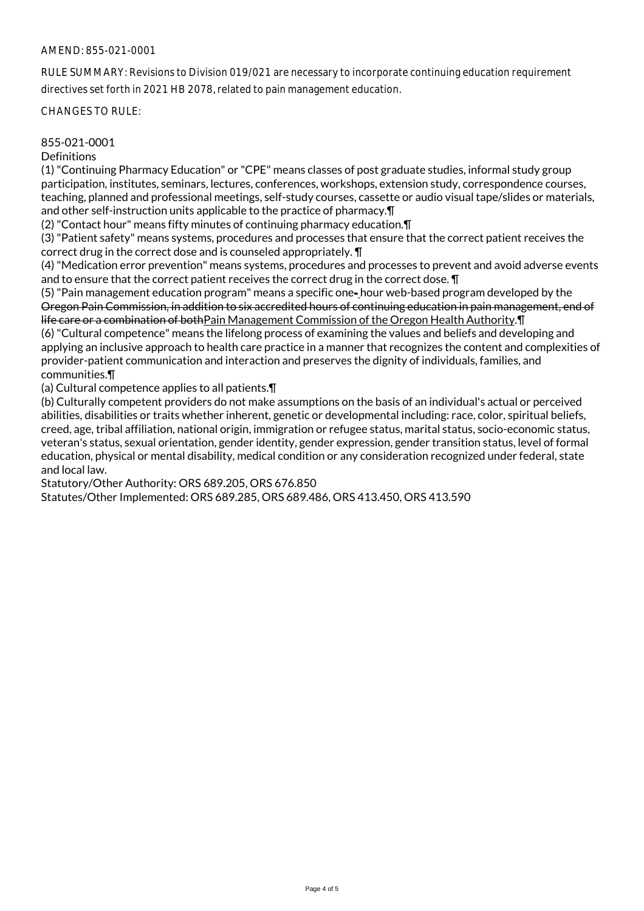#### AMEND: 855-021-0001

RULE SUMMARY: Revisions to Division 019/021 are necessary to incorporate continuing education requirement directives set forth in 2021 HB 2078, related to pain management education.

CHANGES TO RULE:

#### 855-021-0001

**Definitions** 

(1) "Continuing Pharmacy Education" or "CPE" means classes of post graduate studies, informal study group participation, institutes, seminars, lectures, conferences, workshops, extension study, correspondence courses, teaching, planned and professional meetings, self-study courses, cassette or audio visual tape/slides or materials, and other self-instruction units applicable to the practice of pharmacy.¶

(2) "Contact hour" means fifty minutes of continuing pharmacy education.¶

(3) "Patient safety" means systems, procedures and processes that ensure that the correct patient receives the correct drug in the correct dose and is counseled appropriately. ¶

(4) "Medication error prevention" means systems, procedures and processes to prevent and avoid adverse events and to ensure that the correct patient receives the correct drug in the correct dose. ¶

(5) "Pain management education program" means a specific one- hour web-based program developed by the Oregon Pain Commission, in addition to six accredited hours of continuing education in pain management, end of life care or a combination of bothPain Management Commission of the Oregon Health Authority.¶

(6) "Cultural competence" means the lifelong process of examining the values and beliefs and developing and applying an inclusive approach to health care practice in a manner that recognizes the content and complexities of provider-patient communication and interaction and preserves the dignity of individuals, families, and communities.¶

(a) Cultural competence applies to all patients.¶

(b) Culturally competent providers do not make assumptions on the basis of an individual's actual or perceived abilities, disabilities or traits whether inherent, genetic or developmental including: race, color, spiritual beliefs, creed, age, tribal affiliation, national origin, immigration or refugee status, marital status, socio-economic status, veteran's status, sexual orientation, gender identity, gender expression, gender transition status, level of formal education, physical or mental disability, medical condition or any consideration recognized under federal, state and local law.

Statutory/Other Authority: ORS 689.205, ORS 676.850

Statutes/Other Implemented: ORS 689.285, ORS 689.486, ORS 413.450, ORS 413.590